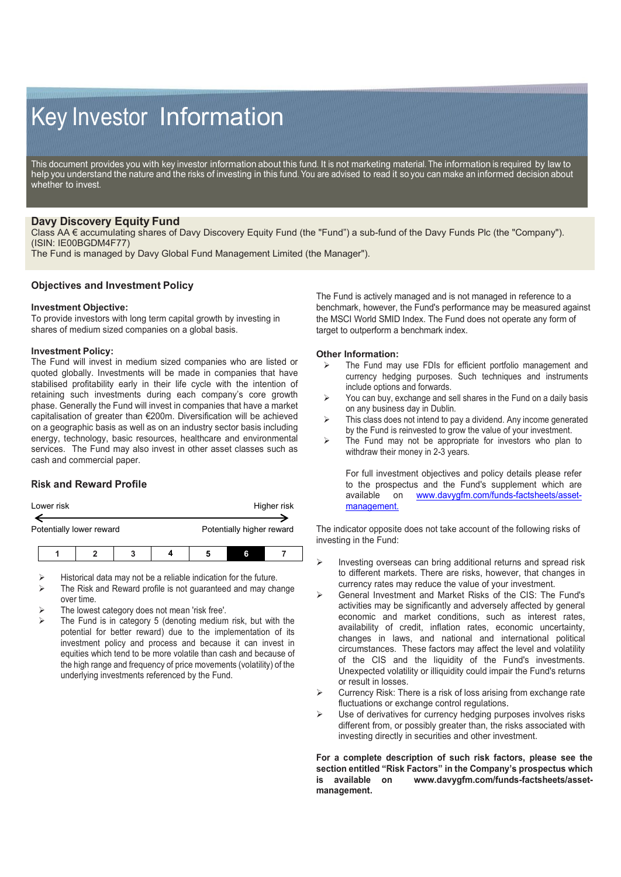# Key Investor Information

This document provides you with key investor information about this fund. It is not marketing material. The information is required by law to help you understand the nature and the risks of investing in this fund. You are advised to read it so you can make an informed decision about whether to invest.

# **Davy Discovery Equity Fund**

Class AA € accumulating shares of Davy Discovery Equity Fund (the "Fund") a sub-fund of the Davy Funds Plc (the "Company"). (ISIN: IE00BGDM4F77)

The Fund is managed by Davy Global Fund Management Limited (the Manager").

# **Objectives and Investment Policy**

#### **Investment Objective:**

To provide investors with long term capital growth by investing in shares of medium sized companies on a global basis.

#### **Investment Policy:**

The Fund will invest in medium sized companies who are listed or quoted globally. Investments will be made in companies that have stabilised profitability early in their life cycle with the intention of retaining such investments during each company's core growth phase. Generally the Fund will invest in companies that have a market capitalisation of greater than €200m. Diversification will be achieved on a geographic basis as well as on an industry sector basis including energy, technology, basic resources, healthcare and environmental services. The Fund may also invest in other asset classes such as cash and commercial paper.

# **Risk and Reward Profile**

| Lower risk |                          |  | Higher risk               |  |  |
|------------|--------------------------|--|---------------------------|--|--|
|            | Potentially lower reward |  | Potentially higher reward |  |  |
|            |                          |  |                           |  |  |

Historical data may not be a reliable indication for the future.

- The Risk and Reward profile is not guaranteed and may change over time.
- The lowest category does not mean 'risk free'.
- The Fund is in category 5 (denoting medium risk, but with the potential for better reward) due to the implementation of its investment policy and process and because it can invest in equities which tend to be more volatile than cash and because of the high range and frequency of price movements (volatility) of the underlying investments referenced by the Fund.

The Fund is actively managed and is not managed in reference to a benchmark, however, the Fund's performance may be measured against the MSCI World SMID Index. The Fund does not operate any form of target to outperform a benchmark index.

#### **Other Information:**

- The Fund may use FDIs for efficient portfolio management and currency hedging purposes. Such techniques and instruments include options and forwards.
- $\triangleright$  You can buy, exchange and sell shares in the Fund on a daily basis on any business day in Dublin.
- > This class does not intend to pay a dividend. Any income generated by the Fund is reinvested to grow the value of your investment.
- $\triangleright$  The Fund may not be appropriate for investors who plan to withdraw their money in 2-3 years.

For full investment objectives and policy details please refer to the prospectus and the Fund's supplement which are available on www.davyqfm.com/funds-factsheets/asset[www.davygfm.com/funds-factsheets/asset](http://www.davygfm.com/funds-factsheets/asset-management.)[management.](http://www.davygfm.com/funds-factsheets/asset-management.)

The indicator opposite does not take account of the following risks of investing in the Fund:

- Investing overseas can bring additional returns and spread risk to different markets. There are risks, however, that changes in currency rates may reduce the value of your investment.
- General Investment and Market Risks of the CIS: The Fund's activities may be significantly and adversely affected by general economic and market conditions, such as interest rates, availability of credit, inflation rates, economic uncertainty, changes in laws, and national and international political circumstances. These factors may affect the level and volatility of the CIS and the liquidity of the Fund's investments. Unexpected volatility or illiquidity could impair the Fund's returns or result in losses.
- Currency Risk: There is a risk of loss arising from exchange rate fluctuations or exchange control regulations.
- Use of derivatives for currency hedging purposes involves risks different from, or possibly greater than, the risks associated with investing directly in securities and other investment.

**For a complete description of such risk factors, please see the section entitled "Risk Factors" in the Company's prospectus which is available on www.davygfm.com/funds-factsheets/assetmanagement.**